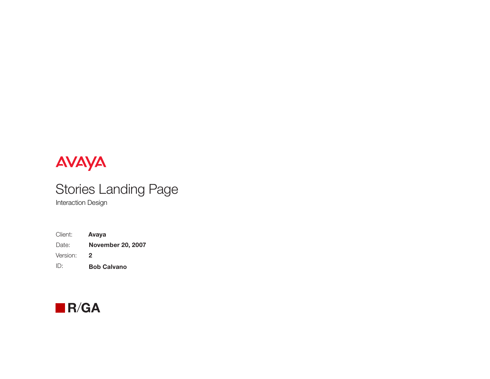# AVAYA

# Stories Landing Page

Interaction Design

| Client:  | Avaya                    |
|----------|--------------------------|
| Date:    | <b>November 20, 2007</b> |
| Version: | 2                        |
| ID:      | <b>Bob Calvano</b>       |

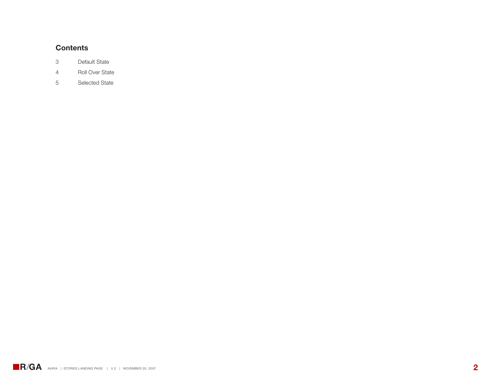#### **Contents**

- 3 Default State
- 4 Roll Over State
- 5 Selected State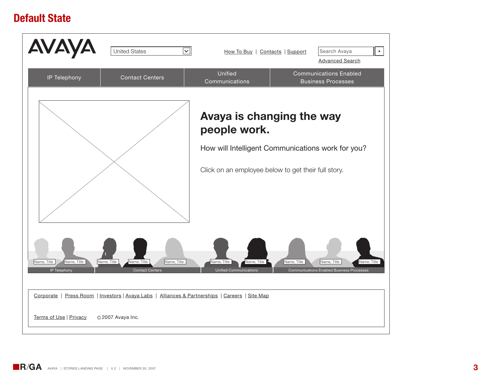### **Default State**

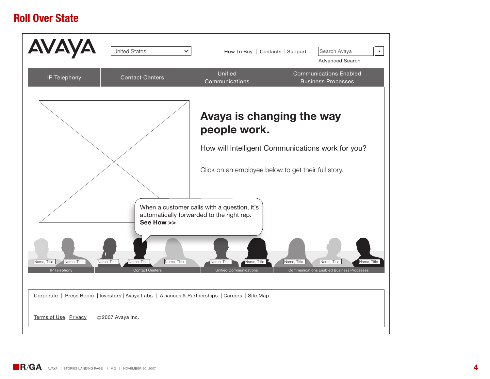### **Roll Over State**